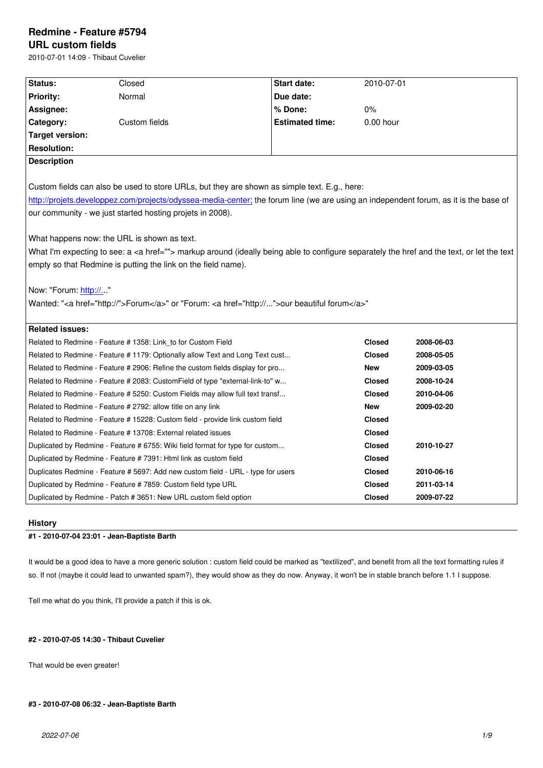#### **URL custom fields**

2010-07-01 14:09 - Thibaut Cuvelier

| Status:                                                                                                                                       | Closed                                                                                       | <b>Start date:</b>     | 2010-07-01    |            |  |  |
|-----------------------------------------------------------------------------------------------------------------------------------------------|----------------------------------------------------------------------------------------------|------------------------|---------------|------------|--|--|
| <b>Priority:</b>                                                                                                                              | Normal                                                                                       | Due date:              |               |            |  |  |
| Assignee:                                                                                                                                     |                                                                                              | % Done:                | $0\%$         |            |  |  |
| Category:                                                                                                                                     | Custom fields                                                                                | <b>Estimated time:</b> | $0.00$ hour   |            |  |  |
| <b>Target version:</b>                                                                                                                        |                                                                                              |                        |               |            |  |  |
| <b>Resolution:</b>                                                                                                                            |                                                                                              |                        |               |            |  |  |
| <b>Description</b>                                                                                                                            |                                                                                              |                        |               |            |  |  |
|                                                                                                                                               |                                                                                              |                        |               |            |  |  |
|                                                                                                                                               | Custom fields can also be used to store URLs, but they are shown as simple text. E.g., here: |                        |               |            |  |  |
| http://projets.developpez.com/projects/odyssea-media-center; the forum line (we are using an independent forum, as it is the base of          |                                                                                              |                        |               |            |  |  |
| our community - we just started hosting projets in 2008).                                                                                     |                                                                                              |                        |               |            |  |  |
|                                                                                                                                               |                                                                                              |                        |               |            |  |  |
| What happens now: the URL is shown as text.                                                                                                   |                                                                                              |                        |               |            |  |  |
| What I'm expecting to see: a <a href=""> markup around (ideally being able to configure separately the href and the text, or let the text</a> |                                                                                              |                        |               |            |  |  |
| empty so that Redmine is putting the link on the field name).                                                                                 |                                                                                              |                        |               |            |  |  |
|                                                                                                                                               |                                                                                              |                        |               |            |  |  |
| Now: "Forum: http://"                                                                                                                         |                                                                                              |                        |               |            |  |  |
| Wanted: " <a href="http://">Forum</a> " or "Forum: <a href="http://">our beautiful forum</a> "                                                |                                                                                              |                        |               |            |  |  |
|                                                                                                                                               |                                                                                              |                        |               |            |  |  |
| <b>Related issues:</b>                                                                                                                        |                                                                                              |                        |               |            |  |  |
| Related to Redmine - Feature # 1358: Link_to for Custom Field                                                                                 |                                                                                              |                        | <b>Closed</b> | 2008-06-03 |  |  |
| Related to Redmine - Feature # 1179: Optionally allow Text and Long Text cust                                                                 |                                                                                              |                        | <b>Closed</b> | 2008-05-05 |  |  |
| Related to Redmine - Feature # 2906: Refine the custom fields display for pro                                                                 |                                                                                              |                        | <b>New</b>    | 2009-03-05 |  |  |
| Related to Redmine - Feature # 2083: CustomField of type "external-link-to" w                                                                 |                                                                                              |                        | <b>Closed</b> | 2008-10-24 |  |  |
| Related to Redmine - Feature # 5250: Custom Fields may allow full text transf                                                                 |                                                                                              |                        | <b>Closed</b> | 2010-04-06 |  |  |
|                                                                                                                                               | Related to Redmine - Feature # 2792: allow title on any link                                 |                        | <b>New</b>    | 2009-02-20 |  |  |
|                                                                                                                                               | Related to Redmine - Feature # 15228: Custom field - provide link custom field               |                        | <b>Closed</b> |            |  |  |
| Related to Redmine - Feature # 13708: External related issues                                                                                 |                                                                                              |                        | <b>Closed</b> |            |  |  |
| Duplicated by Redmine - Feature # 6755: Wiki field format for type for custom                                                                 |                                                                                              |                        | <b>Closed</b> | 2010-10-27 |  |  |
|                                                                                                                                               | Duplicated by Redmine - Feature #7391: Html link as custom field                             |                        | <b>Closed</b> |            |  |  |
|                                                                                                                                               | Duplicates Redmine - Feature # 5697: Add new custom field - URL - type for users             |                        | <b>Closed</b> | 2010-06-16 |  |  |
|                                                                                                                                               | Duplicated by Redmine - Feature # 7859: Custom field type URL                                |                        | <b>Closed</b> | 2011-03-14 |  |  |
|                                                                                                                                               | Duplicated by Redmine - Patch # 3651: New URL custom field option                            |                        | <b>Closed</b> | 2009-07-22 |  |  |

# **History**

# **#1 - 2010-07-04 23:01 - Jean-Baptiste Barth**

It would be a good idea to have a more generic solution : custom field could be marked as "textilized", and benefit from all the text formatting rules if so. If not (maybe it could lead to unwanted spam?), they would show as they do now. Anyway, it won't be in stable branch before 1.1 I suppose.

Tell me what do you think, I'll provide a patch if this is ok.

# **#2 - 2010-07-05 14:30 - Thibaut Cuvelier**

That would be even greater!

# **#3 - 2010-07-08 06:32 - Jean-Baptiste Barth**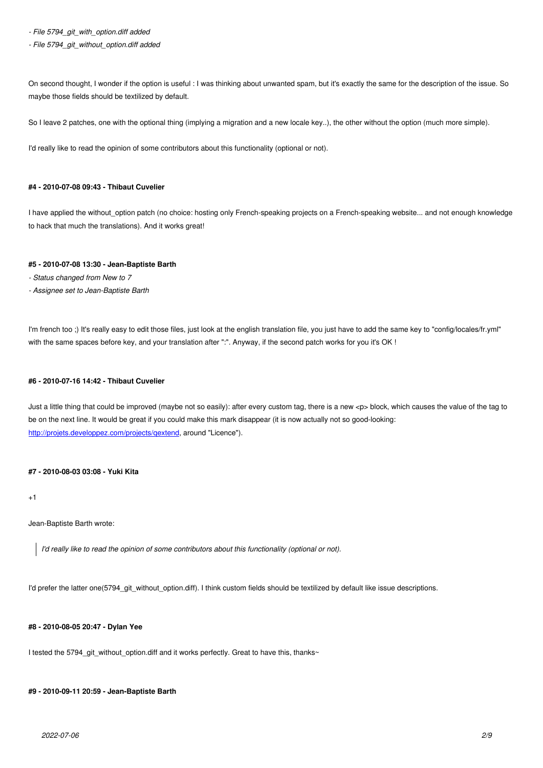On second thought, I wonder if the option is useful : I was thinking about unwanted spam, but it's exactly the same for the description of the issue. So maybe those fields should be textilized by default.

So I leave 2 patches, one with the optional thing (implying a migration and a new locale key..), the other without the option (much more simple).

I'd really like to read the opinion of some contributors about this functionality (optional or not).

# **#4 - 2010-07-08 09:43 - Thibaut Cuvelier**

I have applied the without\_option patch (no choice: hosting only French-speaking projects on a French-speaking website... and not enough knowledge to hack that much the translations). And it works great!

# **#5 - 2010-07-08 13:30 - Jean-Baptiste Barth**

- *Status changed from New to 7*
- *Assignee set to Jean-Baptiste Barth*

I'm french too ;) It's really easy to edit those files, just look at the english translation file, you just have to add the same key to "config/locales/fr.yml" with the same spaces before key, and your translation after ":". Anyway, if the second patch works for you it's OK !

# **#6 - 2010-07-16 14:42 - Thibaut Cuvelier**

Just a little thing that could be improved (maybe not so easily): after every custom tag, there is a new <p> block, which causes the value of the tag to be on the next line. It would be great if you could make this mark disappear (it is now actually not so good-looking: http://projets.developpez.com/projects/qextend, around "Licence").

# **[#7 - 2010-08-03 03:08 - Yuki Kita](http://projets.developpez.com/projects/qextend)**

+1

Jean-Baptiste Barth wrote:

*I'd really like to read the opinion of some contributors about this functionality (optional or not).*

I'd prefer the latter one(5794\_git\_without\_option.diff). I think custom fields should be textilized by default like issue descriptions.

# **#8 - 2010-08-05 20:47 - Dylan Yee**

I tested the 5794\_git\_without\_option.diff and it works perfectly. Great to have this, thanks~

# **#9 - 2010-09-11 20:59 - Jean-Baptiste Barth**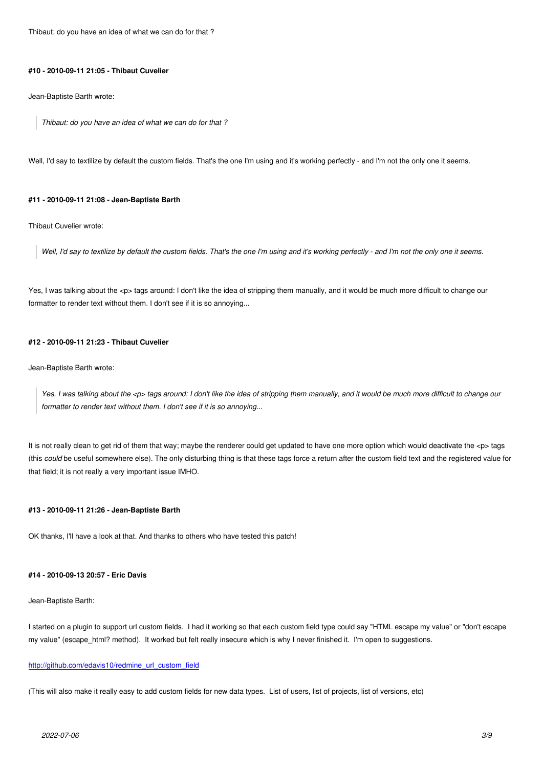#### **#10 - 2010-09-11 21:05 - Thibaut Cuvelier**

Jean-Baptiste Barth wrote:

*Thibaut: do you have an idea of what we can do for that ?*

Well, I'd say to textilize by default the custom fields. That's the one I'm using and it's working perfectly - and I'm not the only one it seems.

#### **#11 - 2010-09-11 21:08 - Jean-Baptiste Barth**

Thibaut Cuvelier wrote:

*Well, I'd say to textilize by default the custom fields. That's the one I'm using and it's working perfectly - and I'm not the only one it seems.*

Yes, I was talking about the <p> tags around: I don't like the idea of stripping them manually, and it would be much more difficult to change our formatter to render text without them. I don't see if it is so annoying...

### **#12 - 2010-09-11 21:23 - Thibaut Cuvelier**

Jean-Baptiste Barth wrote:

*Yes, I was talking about the <p> tags around: I don't like the idea of stripping them manually, and it would be much more difficult to change our formatter to render text without them. I don't see if it is so annoying...*

It is not really clean to get rid of them that way; maybe the renderer could get updated to have one more option which would deactivate the <p> tags (this *could* be useful somewhere else). The only disturbing thing is that these tags force a return after the custom field text and the registered value for that field; it is not really a very important issue IMHO.

#### **#13 - 2010-09-11 21:26 - Jean-Baptiste Barth**

OK thanks, I'll have a look at that. And thanks to others who have tested this patch!

#### **#14 - 2010-09-13 20:57 - Eric Davis**

Jean-Baptiste Barth:

I started on a plugin to support url custom fields. I had it working so that each custom field type could say "HTML escape my value" or "don't escape my value" (escape\_html? method). It worked but felt really insecure which is why I never finished it. I'm open to suggestions.

### http://github.com/edavis10/redmine\_url\_custom\_field

(This will also make it really easy to add custom fields for new data types. List of users, list of projects, list of versions, etc)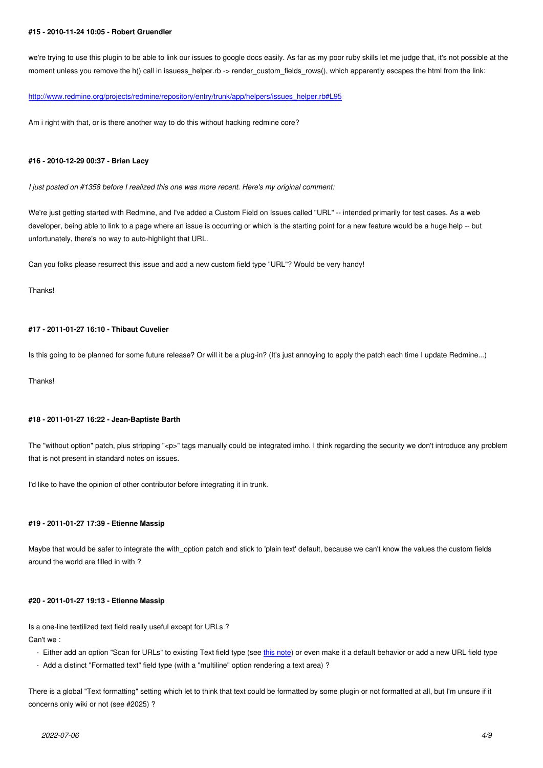we're trying to use this plugin to be able to link our issues to google docs easily. As far as my poor ruby skills let me judge that, it's not possible at the moment unless you remove the h() call in issuess\_helper.rb -> render\_custom\_fields\_rows(), which apparently escapes the html from the link:

### http://www.redmine.org/projects/redmine/repository/entry/trunk/app/helpers/issues\_helper.rb#L95

Am i right with that, or is there another way to do this without hacking redmine core?

#### **#16 - 2010-12-29 00:37 - Brian Lacy**

*I just posted on #1358 before I realized this one was more recent. Here's my original comment:*

We're just getting started with Redmine, and I've added a Custom Field on Issues called "URL" -- intended primarily for test cases. As a web developer, being able to link to a page where an issue is occurring or which is the starting point for a new feature would be a huge help -- but unfortunately, there's no way to auto-highlight that URL.

Can you folks please resurrect this issue and add a new custom field type "URL"? Would be very handy!

Thanks!

#### **#17 - 2011-01-27 16:10 - Thibaut Cuvelier**

Is this going to be planned for some future release? Or will it be a plug-in? (It's just annoying to apply the patch each time I update Redmine...)

Thanks!

#### **#18 - 2011-01-27 16:22 - Jean-Baptiste Barth**

The "without option" patch, plus stripping "<p>" tags manually could be integrated imho. I think regarding the security we don't introduce any problem that is not present in standard notes on issues.

I'd like to have the opinion of other contributor before integrating it in trunk.

### **#19 - 2011-01-27 17:39 - Etienne Massip**

Maybe that would be safer to integrate the with option patch and stick to 'plain text' default, because we can't know the values the custom fields around the world are filled in with ?

#### **#20 - 2011-01-27 19:13 - Etienne Massip**

Is a one-line textilized text field really useful except for URLs ? Can't we :

- Either add an option "Scan for URLs" to existing Text field type (see this note) or even make it a default behavior or add a new URL field type
- Add a distinct "Formatted text" field type (with a "multiline" option rendering a text area) ?

There is a global "Text formatting" setting which let to think that text coul[d be form](http://www.redmine.org/issues/7391#note-5)atted by some plugin or not formatted at all, but I'm unsure if it concerns only wiki or not (see #2025) ?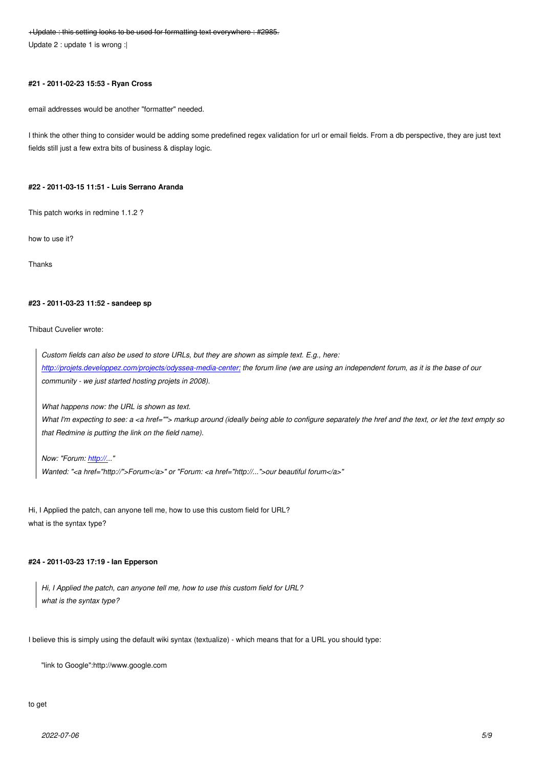#### **#21 - 2011-02-23 15:53 - Ryan Cross**

email addresses would be another "formatter" needed.

I think the other thing to consider would be adding some predefined regex validation for url or email fields. From a db perspective, they are just text fields still just a few extra bits of business & display logic.

#### **#22 - 2011-03-15 11:51 - Luis Serrano Aranda**

This patch works in redmine 1.1.2 ?

how to use it?

Thanks

#### **#23 - 2011-03-23 11:52 - sandeep sp**

#### Thibaut Cuvelier wrote:

*Custom fields can also be used to store URLs, but they are shown as simple text. E.g., here: http://projets.developpez.com/projects/odyssea-media-center; the forum line (we are using an independent forum, as it is the base of our community - we just started hosting projets in 2008).*

*[What happens now: the URL is shown as text.](http://projets.developpez.com/projects/odyssea-media-center;)* 

*What I'm expecting to see: a <a href=""> markup around (ideally being able to configure separately the href and the text, or let the text empty so that Redmine is putting the link on the field name).*

*Now: "Forum: http://..."* 

*Wanted: "<a href="http://">Forum</a>" or "Forum: <a href="http://...">our beautiful forum</a>"*

Hi, I Applied the p[atch, ca](http://.)n anyone tell me, how to use this custom field for URL? what is the syntax type?

#### **#24 - 2011-03-23 17:19 - Ian Epperson**

*Hi, I Applied the patch, can anyone tell me, how to use this custom field for URL? what is the syntax type?*

I believe this is simply using the default wiki syntax (textualize) - which means that for a URL you should type:

"link to Google":http://www.google.com

#### to get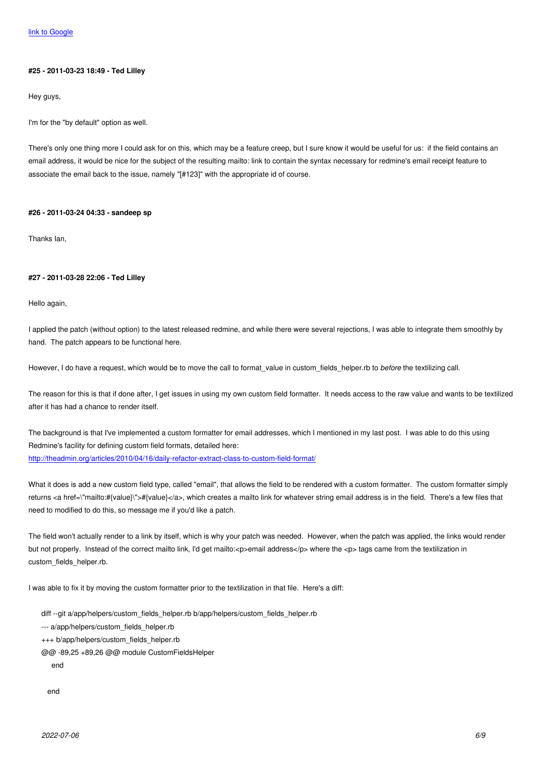#### **[#25 - 2011-03](http://www.google.com)-23 18:49 - Ted Lilley**

Hey guys,

I'm for the "by default" option as well.

There's only one thing more I could ask for on this, which may be a feature creep, but I sure know it would be useful for us: if the field contains an email address, it would be nice for the subject of the resulting mailto: link to contain the syntax necessary for redmine's email receipt feature to associate the email back to the issue, namely "[#123]" with the appropriate id of course.

#### **#26 - 2011-03-24 04:33 - sandeep sp**

Thanks Ian,

### **#27 - 2011-03-28 22:06 - Ted Lilley**

Hello again,

I applied the patch (without option) to the latest released redmine, and while there were several rejections, I was able to integrate them smoothly by hand. The patch appears to be functional here.

However, I do have a request, which would be to move the call to format value in custom fields helper.rb to *before* the textilizing call.

The reason for this is that if done after, I get issues in using my own custom field formatter. It needs access to the raw value and wants to be textilized after it has had a chance to render itself.

The background is that I've implemented a custom formatter for email addresses, which I mentioned in my last post. I was able to do this using Redmine's facility for defining custom field formats, detailed here: http://theadmin.org/articles/2010/04/16/daily-refactor-extract-class-to-custom-field-format/

What it does is add a new custom field type, called "email", that allows the field to be rendered with a custom formatter. The custom formatter simply [returns <a href=\"mailto:#{value}\">#{value}</a>, which creates a mailto link for whatever](http://theadmin.org/articles/2010/04/16/daily-refactor-extract-class-to-custom-field-format/) string email address is in the field. There's a few files that need to modified to do this, so message me if you'd like a patch.

The field won't actually render to a link by itself, which is why your patch was needed. However, when the patch was applied, the links would render but not properly. Instead of the correct mailto link, I'd get mailto:<p>email address</p> where the <p> tags came from the textilization in custom\_fields\_helper.rb.

I was able to fix it by moving the custom formatter prior to the textilization in that file. Here's a diff:

diff --git a/app/helpers/custom\_fields\_helper.rb b/app/helpers/custom\_fields\_helper.rb

--- a/app/helpers/custom\_fields\_helper.rb

- +++ b/app/helpers/custom\_fields\_helper.rb
- @@ -89,25 +89,26 @@ module CustomFieldsHelper

end

end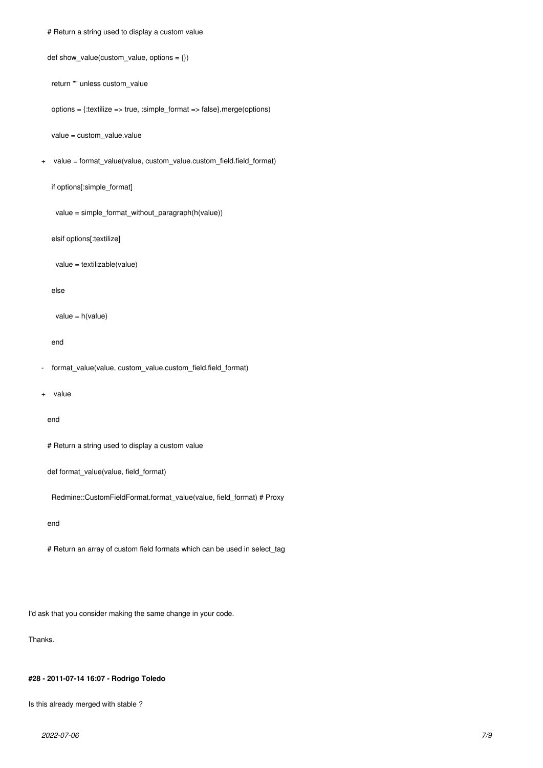# Return a string used to display a custom value

```
def show_value(custom_value, options = \{\})
```
return "" unless custom\_value

options = {:textilize => true, :simple\_format => false}.merge(options)

value = custom\_value.value

+ value = format\_value(value, custom\_value.custom\_field.field\_format)

if options[:simple\_format]

value = simple\_format\_without\_paragraph(h(value))

elsif options[:textilize]

value = textilizable(value)

else

```
 value = h(value)
```
end

- format\_value(value, custom\_value.custom\_field.field\_format)

+ value

```
 end
```
# Return a string used to display a custom value

def format\_value(value, field\_format)

Redmine::CustomFieldFormat.format\_value(value, field\_format) # Proxy

end

# Return an array of custom field formats which can be used in select\_tag

I'd ask that you consider making the same change in your code.

Thanks.

#### **#28 - 2011-07-14 16:07 - Rodrigo Toledo**

Is this already merged with stable ?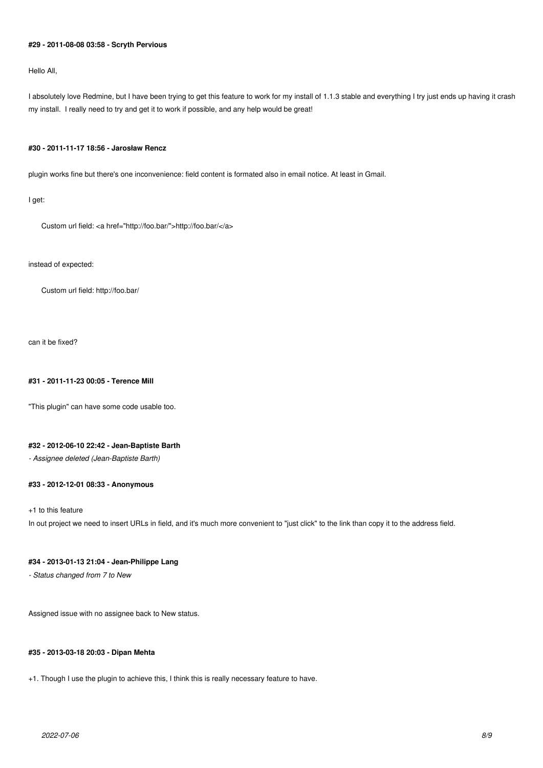# **#29 - 2011-08-08 03:58 - Scryth Pervious**

Hello All,

I absolutely love Redmine, but I have been trying to get this feature to work for my install of 1.1.3 stable and everything I try just ends up having it crash my install. I really need to try and get it to work if possible, and any help would be great!

#### **#30 - 2011-11-17 18:56 - Jarosław Rencz**

plugin works fine but there's one inconvenience: field content is formated also in email notice. At least in Gmail.

I get:

Custom url field: <a href="http://foo.bar/">http://foo.bar/</a>

instead of expected:

Custom url field: http://foo.bar/

can it be fixed?

#### **#31 - 2011-11-23 00:05 - Terence Mill**

"This plugin" can have some code usable too.

# **#32 - 2012-06-10 22:42 - Jean-Baptiste Barth**

*- Assignee deleted (Jean-Baptiste Barth)*

# **#33 - 2012-12-01 08:33 - Anonymous**

+1 to this feature

In out project we need to insert URLs in field, and it's much more convenient to "just click" to the link than copy it to the address field.

### **#34 - 2013-01-13 21:04 - Jean-Philippe Lang**

*- Status changed from 7 to New*

Assigned issue with no assignee back to New status.

#### **#35 - 2013-03-18 20:03 - Dipan Mehta**

+1. Though I use the plugin to achieve this, I think this is really necessary feature to have.